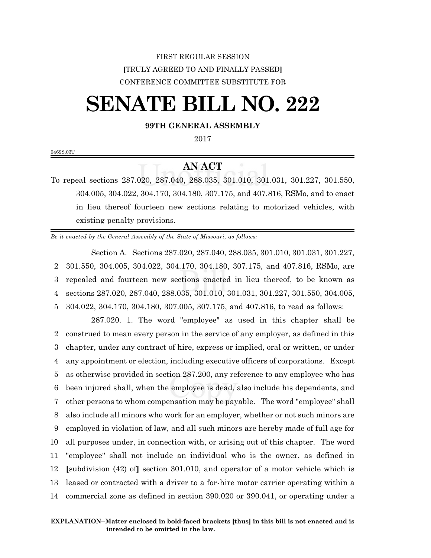## FIRST REGULAR SESSION **[**TRULY AGREED TO AND FINALLY PASSED**]** CONFERENCE COMMITTEE SUBSTITUTE FOR

## **SENATE BILL NO. 222**

## **99TH GENERAL ASSEMBLY**

2017

0469S.03T

## **AN ACT**

To repeal sections 287.020, 287.040, 288.035, 301.010, 301.031, 301.227, 301.550, 304.005, 304.022, 304.170, 304.180, 307.175, and 407.816, RSMo, and to enact in lieu thereof fourteen new sections relating to motorized vehicles, with existing penalty provisions.

*Be it enacted by the General Assembly of the State of Missouri, as follows:*

Section A. Sections 287.020, 287.040, 288.035, 301.010, 301.031, 301.227, 301.550, 304.005, 304.022, 304.170, 304.180, 307.175, and 407.816, RSMo, are repealed and fourteen new sections enacted in lieu thereof, to be known as sections 287.020, 287.040, 288.035, 301.010, 301.031, 301.227, 301.550, 304.005, 304.022, 304.170, 304.180, 307.005, 307.175, and 407.816, to read as follows:

287.020. 1. The word "employee" as used in this chapter shall be construed to mean every person in the service of any employer, as defined in this chapter, under any contract of hire, express or implied, oral or written, or under any appointment or election, including executive officers of corporations. Except as otherwise provided in section 287.200, any reference to any employee who has been injured shall, when the employee is dead, also include his dependents, and other persons to whom compensation may be payable. The word "employee" shall also include all minors who work for an employer, whether or not such minors are employed in violation of law, and all such minors are hereby made of full age for all purposes under, in connection with, or arising out of this chapter. The word "employee" shall not include an individual who is the owner, as defined in **[**subdivision (42) of**]** section 301.010, and operator of a motor vehicle which is leased or contracted with a driver to a for-hire motor carrier operating within a commercial zone as defined in section 390.020 or 390.041, or operating under a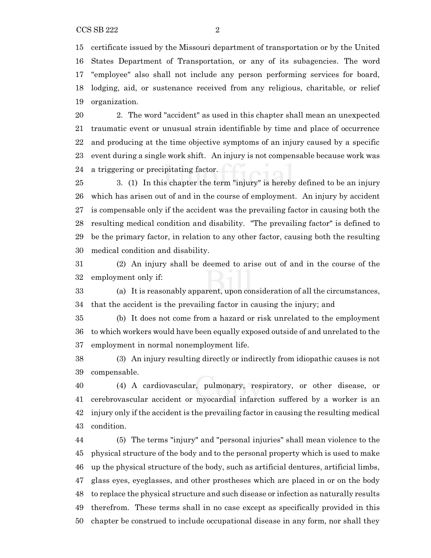certificate issued by the Missouri department of transportation or by the United States Department of Transportation, or any of its subagencies. The word "employee" also shall not include any person performing services for board, lodging, aid, or sustenance received from any religious, charitable, or relief organization.

 2. The word "accident" as used in this chapter shall mean an unexpected traumatic event or unusual strain identifiable by time and place of occurrence and producing at the time objective symptoms of an injury caused by a specific event during a single work shift. An injury is not compensable because work was a triggering or precipitating factor.

 3. (1) In this chapter the term "injury" is hereby defined to be an injury which has arisen out of and in the course of employment. An injury by accident is compensable only if the accident was the prevailing factor in causing both the resulting medical condition and disability. "The prevailing factor" is defined to be the primary factor, in relation to any other factor, causing both the resulting medical condition and disability.

 (2) An injury shall be deemed to arise out of and in the course of the employment only if:

 (a) It is reasonably apparent, upon consideration of all the circumstances, that the accident is the prevailing factor in causing the injury; and

 (b) It does not come from a hazard or risk unrelated to the employment to which workers would have been equally exposed outside of and unrelated to the employment in normal nonemployment life.

 (3) An injury resulting directly or indirectly from idiopathic causes is not compensable.

 (4) A cardiovascular, pulmonary, respiratory, or other disease, or cerebrovascular accident or myocardial infarction suffered by a worker is an injury only if the accident is the prevailing factor in causing the resulting medical condition.

 (5) The terms "injury" and "personal injuries" shall mean violence to the physical structure of the body and to the personal property which is used to make up the physical structure of the body, such as artificial dentures, artificial limbs, glass eyes, eyeglasses, and other prostheses which are placed in or on the body to replace the physical structure and such disease or infection as naturally results therefrom. These terms shall in no case except as specifically provided in this chapter be construed to include occupational disease in any form, nor shall they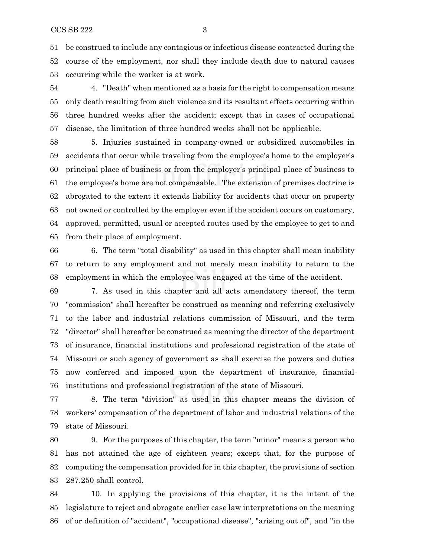be construed to include any contagious or infectious disease contracted during the course of the employment, nor shall they include death due to natural causes occurring while the worker is at work.

 4. "Death" when mentioned as a basis for the right to compensation means only death resulting from such violence and its resultant effects occurring within three hundred weeks after the accident; except that in cases of occupational disease, the limitation of three hundred weeks shall not be applicable.

 5. Injuries sustained in company-owned or subsidized automobiles in accidents that occur while traveling from the employee's home to the employer's principal place of business or from the employer's principal place of business to the employee's home are not compensable. The extension of premises doctrine is abrogated to the extent it extends liability for accidents that occur on property not owned or controlled by the employer even if the accident occurs on customary, approved, permitted, usual or accepted routes used by the employee to get to and from their place of employment.

 6. The term "total disability" as used in this chapter shall mean inability to return to any employment and not merely mean inability to return to the employment in which the employee was engaged at the time of the accident.

 7. As used in this chapter and all acts amendatory thereof, the term "commission" shall hereafter be construed as meaning and referring exclusively to the labor and industrial relations commission of Missouri, and the term "director" shall hereafter be construed as meaning the director of the department of insurance, financial institutions and professional registration of the state of Missouri or such agency of government as shall exercise the powers and duties now conferred and imposed upon the department of insurance, financial institutions and professional registration of the state of Missouri.

 8. The term "division" as used in this chapter means the division of workers' compensation of the department of labor and industrial relations of the state of Missouri.

 9. For the purposes of this chapter, the term "minor" means a person who has not attained the age of eighteen years; except that, for the purpose of computing the compensation provided for in this chapter, the provisions of section 287.250 shall control.

 10. In applying the provisions of this chapter, it is the intent of the legislature to reject and abrogate earlier case law interpretations on the meaning of or definition of "accident", "occupational disease", "arising out of", and "in the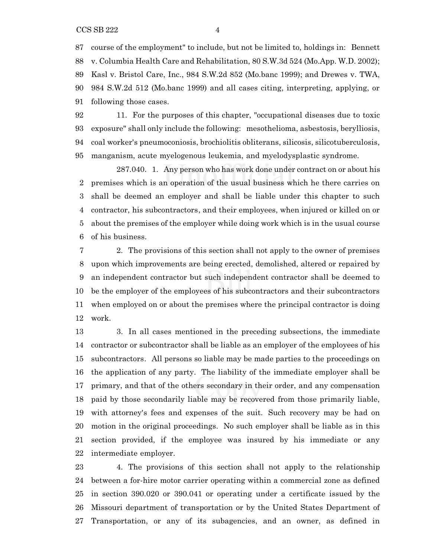course of the employment" to include, but not be limited to, holdings in: Bennett v. Columbia Health Care and Rehabilitation, 80 S.W.3d 524 (Mo.App. W.D. 2002); Kasl v. Bristol Care, Inc., 984 S.W.2d 852 (Mo.banc 1999); and Drewes v. TWA, 984 S.W.2d 512 (Mo.banc 1999) and all cases citing, interpreting, applying, or following those cases.

 11. For the purposes of this chapter, "occupational diseases due to toxic exposure" shall only include the following: mesothelioma, asbestosis, berylliosis, coal worker's pneumoconiosis, brochiolitis obliterans, silicosis, silicotuberculosis, manganism, acute myelogenous leukemia, and myelodysplastic syndrome.

287.040. 1. Any person who has work done under contract on or about his premises which is an operation of the usual business which he there carries on shall be deemed an employer and shall be liable under this chapter to such contractor, his subcontractors, and their employees, when injured or killed on or about the premises of the employer while doing work which is in the usual course of his business.

 2. The provisions of this section shall not apply to the owner of premises upon which improvements are being erected, demolished, altered or repaired by an independent contractor but such independent contractor shall be deemed to be the employer of the employees of his subcontractors and their subcontractors when employed on or about the premises where the principal contractor is doing work.

 3. In all cases mentioned in the preceding subsections, the immediate contractor or subcontractor shall be liable as an employer of the employees of his subcontractors. All persons so liable may be made parties to the proceedings on the application of any party. The liability of the immediate employer shall be primary, and that of the others secondary in their order, and any compensation paid by those secondarily liable may be recovered from those primarily liable, with attorney's fees and expenses of the suit. Such recovery may be had on motion in the original proceedings. No such employer shall be liable as in this section provided, if the employee was insured by his immediate or any intermediate employer.

 4. The provisions of this section shall not apply to the relationship between a for-hire motor carrier operating within a commercial zone as defined in section 390.020 or 390.041 or operating under a certificate issued by the Missouri department of transportation or by the United States Department of Transportation, or any of its subagencies, and an owner, as defined in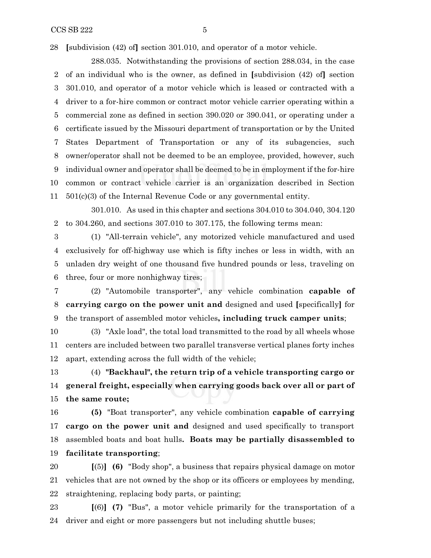$CCSSB 222$   $5$ 

**[**subdivision (42) of**]** section 301.010, and operator of a motor vehicle.

288.035. Notwithstanding the provisions of section 288.034, in the case of an individual who is the owner, as defined in **[**subdivision (42) of**]** section 301.010, and operator of a motor vehicle which is leased or contracted with a driver to a for-hire common or contract motor vehicle carrier operating within a commercial zone as defined in section 390.020 or 390.041, or operating under a certificate issued by the Missouri department of transportation or by the United States Department of Transportation or any of its subagencies, such owner/operator shall not be deemed to be an employee, provided, however, such individual owner and operator shall be deemed to be in employment if the for-hire common or contract vehicle carrier is an organization described in Section 501(c)(3) of the Internal Revenue Code or any governmental entity.

301.010. As used in this chapter and sections 304.010 to 304.040, 304.120 to 304.260, and sections 307.010 to 307.175, the following terms mean:

 (1) "All-terrain vehicle", any motorized vehicle manufactured and used exclusively for off-highway use which is fifty inches or less in width, with an unladen dry weight of one thousand five hundred pounds or less, traveling on three, four or more nonhighway tires;

 (2) "Automobile transporter", any vehicle combination **capable of carrying cargo on the power unit and** designed and used **[**specifically**]** for the transport of assembled motor vehicles**, including truck camper units**;

 (3) "Axle load", the total load transmitted to the road by all wheels whose centers are included between two parallel transverse vertical planes forty inches apart, extending across the full width of the vehicle;

 (4) **"Backhaul", the return trip of a vehicle transporting cargo or general freight, especially when carrying goods back over all or part of the same route;**

 **(5)** "Boat transporter", any vehicle combination **capable of carrying cargo on the power unit and** designed and used specifically to transport assembled boats and boat hulls**. Boats may be partially disassembled to facilitate transporting**;

 **[**(5)**] (6)** "Body shop", a business that repairs physical damage on motor vehicles that are not owned by the shop or its officers or employees by mending, straightening, replacing body parts, or painting;

 **[**(6)**] (7)** "Bus", a motor vehicle primarily for the transportation of a driver and eight or more passengers but not including shuttle buses;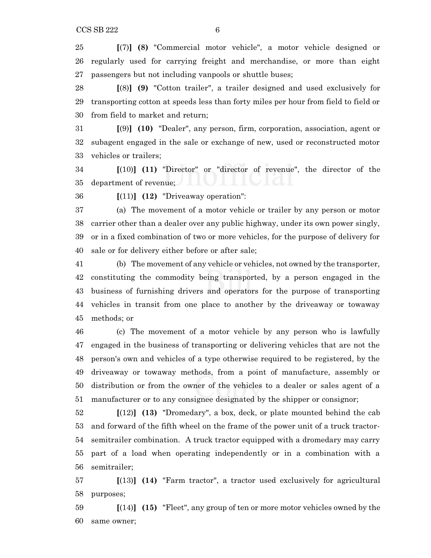**[**(7)**] (8)** "Commercial motor vehicle", a motor vehicle designed or regularly used for carrying freight and merchandise, or more than eight passengers but not including vanpools or shuttle buses;

 **[**(8)**] (9)** "Cotton trailer", a trailer designed and used exclusively for transporting cotton at speeds less than forty miles per hour from field to field or from field to market and return;

 **[**(9)**] (10)** "Dealer", any person, firm, corporation, association, agent or subagent engaged in the sale or exchange of new, used or reconstructed motor vehicles or trailers;

 **[**(10)**] (11)** "Director" or "director of revenue", the director of the department of revenue;

**[**(11)**] (12)** "Driveaway operation":

 (a) The movement of a motor vehicle or trailer by any person or motor carrier other than a dealer over any public highway, under its own power singly, or in a fixed combination of two or more vehicles, for the purpose of delivery for sale or for delivery either before or after sale;

 (b) The movement of any vehicle or vehicles, not owned by the transporter, constituting the commodity being transported, by a person engaged in the business of furnishing drivers and operators for the purpose of transporting vehicles in transit from one place to another by the driveaway or towaway methods; or

 (c) The movement of a motor vehicle by any person who is lawfully engaged in the business of transporting or delivering vehicles that are not the person's own and vehicles of a type otherwise required to be registered, by the driveaway or towaway methods, from a point of manufacture, assembly or distribution or from the owner of the vehicles to a dealer or sales agent of a manufacturer or to any consignee designated by the shipper or consignor;

 **[**(12)**] (13)** "Dromedary", a box, deck, or plate mounted behind the cab and forward of the fifth wheel on the frame of the power unit of a truck tractor- semitrailer combination. A truck tractor equipped with a dromedary may carry part of a load when operating independently or in a combination with a semitrailer;

 **[**(13)**] (14)** "Farm tractor", a tractor used exclusively for agricultural purposes;

 **[**(14)**] (15)** "Fleet", any group of ten or more motor vehicles owned by the same owner;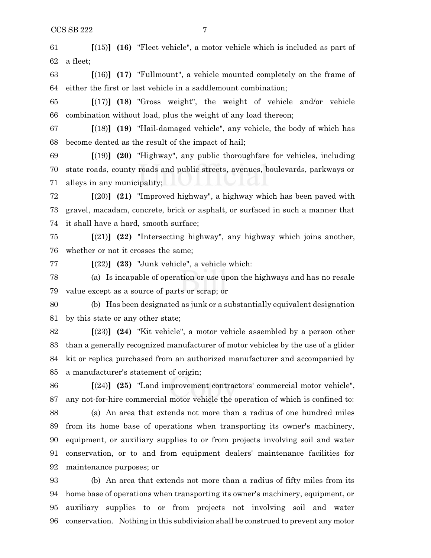**[**(15)**] (16)** "Fleet vehicle", a motor vehicle which is included as part of a fleet;

 **[**(16)**] (17)** "Fullmount", a vehicle mounted completely on the frame of either the first or last vehicle in a saddlemount combination;

 **[**(17)**] (18)** "Gross weight", the weight of vehicle and/or vehicle combination without load, plus the weight of any load thereon;

 **[**(18)**] (19)** "Hail-damaged vehicle", any vehicle, the body of which has become dented as the result of the impact of hail;

 **[**(19)**] (20)** "Highway", any public thoroughfare for vehicles, including state roads, county roads and public streets, avenues, boulevards, parkways or alleys in any municipality;

 **[**(20)**] (21)** "Improved highway", a highway which has been paved with gravel, macadam, concrete, brick or asphalt, or surfaced in such a manner that it shall have a hard, smooth surface;

 **[**(21)**] (22)** "Intersecting highway", any highway which joins another, whether or not it crosses the same;

**[**(22)**] (23)** "Junk vehicle", a vehicle which:

 (a) Is incapable of operation or use upon the highways and has no resale value except as a source of parts or scrap; or

 (b) Has been designated as junk or a substantially equivalent designation by this state or any other state;

 **[**(23)**] (24)** "Kit vehicle", a motor vehicle assembled by a person other than a generally recognized manufacturer of motor vehicles by the use of a glider kit or replica purchased from an authorized manufacturer and accompanied by a manufacturer's statement of origin;

 **[**(24)**] (25)** "Land improvement contractors' commercial motor vehicle", any not-for-hire commercial motor vehicle the operation of which is confined to:

 (a) An area that extends not more than a radius of one hundred miles from its home base of operations when transporting its owner's machinery, equipment, or auxiliary supplies to or from projects involving soil and water conservation, or to and from equipment dealers' maintenance facilities for maintenance purposes; or

 (b) An area that extends not more than a radius of fifty miles from its home base of operations when transporting its owner's machinery, equipment, or auxiliary supplies to or from projects not involving soil and water conservation. Nothing in this subdivision shall be construed to prevent any motor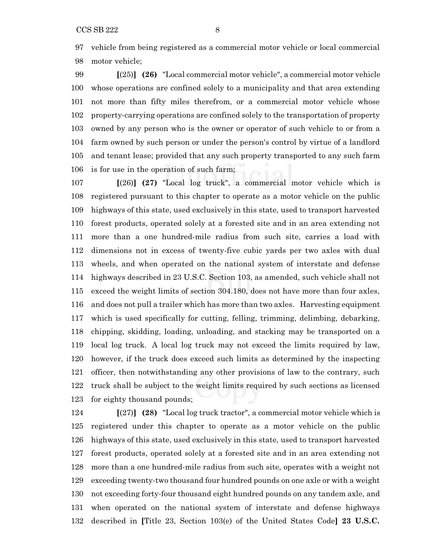vehicle from being registered as a commercial motor vehicle or local commercial motor vehicle;

 **[**(25)**] (26)** "Local commercial motor vehicle", a commercial motor vehicle whose operations are confined solely to a municipality and that area extending not more than fifty miles therefrom, or a commercial motor vehicle whose property-carrying operations are confined solely to the transportation of property owned by any person who is the owner or operator of such vehicle to or from a farm owned by such person or under the person's control by virtue of a landlord and tenant lease; provided that any such property transported to any such farm is for use in the operation of such farm;

 **[**(26)**] (27)** "Local log truck", a commercial motor vehicle which is registered pursuant to this chapter to operate as a motor vehicle on the public highways of this state, used exclusively in this state, used to transport harvested forest products, operated solely at a forested site and in an area extending not more than a one hundred-mile radius from such site, carries a load with dimensions not in excess of twenty-five cubic yards per two axles with dual wheels, and when operated on the national system of interstate and defense highways described in 23 U.S.C. Section 103, as amended, such vehicle shall not exceed the weight limits of section 304.180, does not have more than four axles, and does not pull a trailer which has more than two axles. Harvesting equipment which is used specifically for cutting, felling, trimming, delimbing, debarking, chipping, skidding, loading, unloading, and stacking may be transported on a local log truck. A local log truck may not exceed the limits required by law, however, if the truck does exceed such limits as determined by the inspecting officer, then notwithstanding any other provisions of law to the contrary, such truck shall be subject to the weight limits required by such sections as licensed for eighty thousand pounds;

 **[**(27)**] (28)** "Local log truck tractor", a commercial motor vehicle which is registered under this chapter to operate as a motor vehicle on the public highways of this state, used exclusively in this state, used to transport harvested forest products, operated solely at a forested site and in an area extending not more than a one hundred-mile radius from such site, operates with a weight not exceeding twenty-two thousand four hundred pounds on one axle or with a weight not exceeding forty-four thousand eight hundred pounds on any tandem axle, and when operated on the national system of interstate and defense highways described in **[**Title 23, Section 103(e) of the United States Code**] 23 U.S.C.**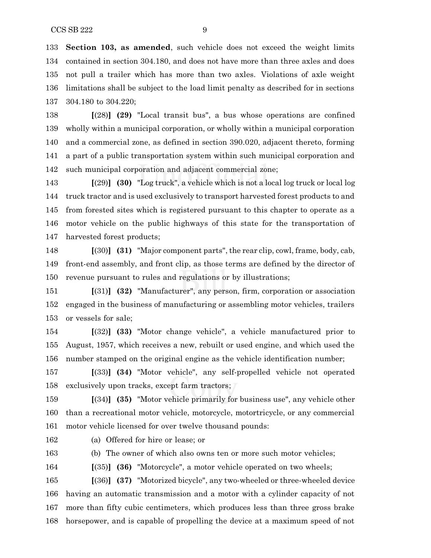**Section 103, as amended**, such vehicle does not exceed the weight limits contained in section 304.180, and does not have more than three axles and does not pull a trailer which has more than two axles. Violations of axle weight limitations shall be subject to the load limit penalty as described for in sections 304.180 to 304.220;

 **[**(28)**] (29)** "Local transit bus", a bus whose operations are confined wholly within a municipal corporation, or wholly within a municipal corporation and a commercial zone, as defined in section 390.020, adjacent thereto, forming a part of a public transportation system within such municipal corporation and such municipal corporation and adjacent commercial zone;

 **[**(29)**] (30)** "Log truck", a vehicle which is not a local log truck or local log truck tractor and is used exclusively to transport harvested forest products to and from forested sites which is registered pursuant to this chapter to operate as a motor vehicle on the public highways of this state for the transportation of harvested forest products;

 **[**(30)**] (31)** "Major component parts", the rear clip, cowl, frame, body, cab, front-end assembly, and front clip, as those terms are defined by the director of revenue pursuant to rules and regulations or by illustrations;

 **[**(31)**] (32)** "Manufacturer", any person, firm, corporation or association engaged in the business of manufacturing or assembling motor vehicles, trailers or vessels for sale;

 **[**(32)**] (33)** "Motor change vehicle", a vehicle manufactured prior to August, 1957, which receives a new, rebuilt or used engine, and which used the number stamped on the original engine as the vehicle identification number;

 **[**(33)**] (34)** "Motor vehicle", any self-propelled vehicle not operated exclusively upon tracks, except farm tractors;

 **[**(34)**] (35)** "Motor vehicle primarily for business use", any vehicle other than a recreational motor vehicle, motorcycle, motortricycle, or any commercial motor vehicle licensed for over twelve thousand pounds:

(a) Offered for hire or lease; or

(b) The owner of which also owns ten or more such motor vehicles;

**[**(35)**] (36)** "Motorcycle", a motor vehicle operated on two wheels;

 **[**(36)**] (37)** "Motorized bicycle", any two-wheeled or three-wheeled device having an automatic transmission and a motor with a cylinder capacity of not more than fifty cubic centimeters, which produces less than three gross brake horsepower, and is capable of propelling the device at a maximum speed of not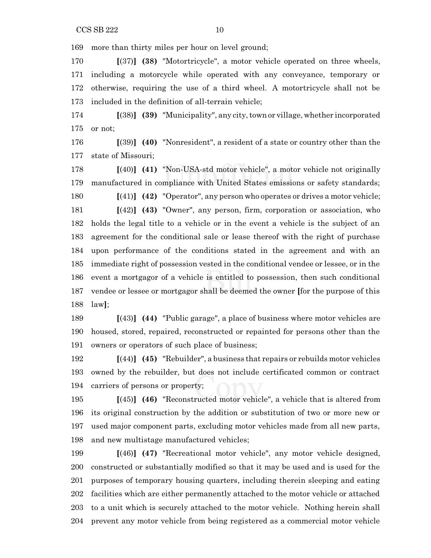more than thirty miles per hour on level ground;

 **[**(37)**] (38)** "Motortricycle", a motor vehicle operated on three wheels, including a motorcycle while operated with any conveyance, temporary or otherwise, requiring the use of a third wheel. A motortricycle shall not be included in the definition of all-terrain vehicle;

 **[**(38)**] (39)** "Municipality", any city,town or village, whether incorporated or not;

 **[**(39)**] (40)** "Nonresident", a resident of a state or country other than the state of Missouri;

 **[**(40)**] (41)** "Non-USA-std motor vehicle", a motor vehicle not originally manufactured in compliance with United States emissions or safety standards; **[**(41)**] (42)** "Operator", any person who operates or drives a motor vehicle;

 **[**(42)**] (43)** "Owner", any person, firm, corporation or association, who holds the legal title to a vehicle or in the event a vehicle is the subject of an agreement for the conditional sale or lease thereof with the right of purchase upon performance of the conditions stated in the agreement and with an immediate right of possession vested in the conditional vendee or lessee, or in the event a mortgagor of a vehicle is entitled to possession, then such conditional vendee or lessee or mortgagor shall be deemed the owner **[**for the purpose of this law**]**;

 **[**(43)**] (44)** "Public garage", a place of business where motor vehicles are housed, stored, repaired, reconstructed or repainted for persons other than the owners or operators of such place of business;

 **[**(44)**] (45)** "Rebuilder", a business that repairs or rebuilds motor vehicles owned by the rebuilder, but does not include certificated common or contract carriers of persons or property;

 **[**(45)**] (46)** "Reconstructed motor vehicle", a vehicle that is altered from its original construction by the addition or substitution of two or more new or used major component parts, excluding motor vehicles made from all new parts, and new multistage manufactured vehicles;

 **[**(46)**] (47)** "Recreational motor vehicle", any motor vehicle designed, constructed or substantially modified so that it may be used and is used for the purposes of temporary housing quarters, including therein sleeping and eating facilities which are either permanently attached to the motor vehicle or attached to a unit which is securely attached to the motor vehicle. Nothing herein shall prevent any motor vehicle from being registered as a commercial motor vehicle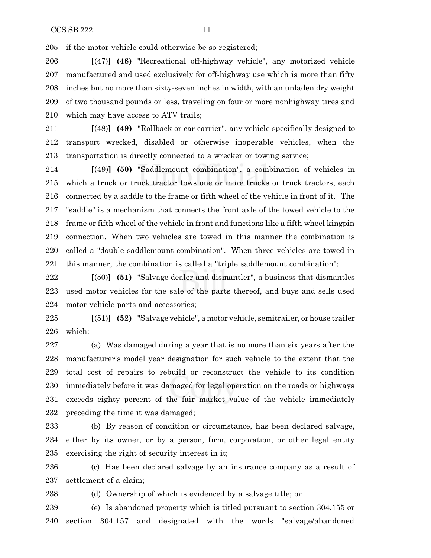if the motor vehicle could otherwise be so registered;

 **[**(47)**] (48)** "Recreational off-highway vehicle", any motorized vehicle manufactured and used exclusively for off-highway use which is more than fifty inches but no more than sixty-seven inches in width, with an unladen dry weight of two thousand pounds or less, traveling on four or more nonhighway tires and which may have access to ATV trails;

 **[**(48)**] (49)** "Rollback or car carrier", any vehicle specifically designed to transport wrecked, disabled or otherwise inoperable vehicles, when the transportation is directly connected to a wrecker or towing service;

 **[**(49)**] (50)** "Saddlemount combination", a combination of vehicles in which a truck or truck tractor tows one or more trucks or truck tractors, each connected by a saddle to the frame or fifth wheel of the vehicle in front of it. The "saddle" is a mechanism that connects the front axle of the towed vehicle to the frame or fifth wheel of the vehicle in front and functions like a fifth wheel kingpin connection. When two vehicles are towed in this manner the combination is called a "double saddlemount combination". When three vehicles are towed in this manner, the combination is called a "triple saddlemount combination";

 **[**(50)**] (51)** "Salvage dealer and dismantler", a business that dismantles used motor vehicles for the sale of the parts thereof, and buys and sells used motor vehicle parts and accessories;

 **[**(51)**] (52)** "Salvage vehicle", a motor vehicle, semitrailer, or house trailer which:

 (a) Was damaged during a year that is no more than six years after the manufacturer's model year designation for such vehicle to the extent that the total cost of repairs to rebuild or reconstruct the vehicle to its condition immediately before it was damaged for legal operation on the roads or highways exceeds eighty percent of the fair market value of the vehicle immediately preceding the time it was damaged;

 (b) By reason of condition or circumstance, has been declared salvage, either by its owner, or by a person, firm, corporation, or other legal entity exercising the right of security interest in it;

 (c) Has been declared salvage by an insurance company as a result of settlement of a claim;

(d) Ownership of which is evidenced by a salvage title; or

 (e) Is abandoned property which is titled pursuant to section 304.155 or section 304.157 and designated with the words "salvage/abandoned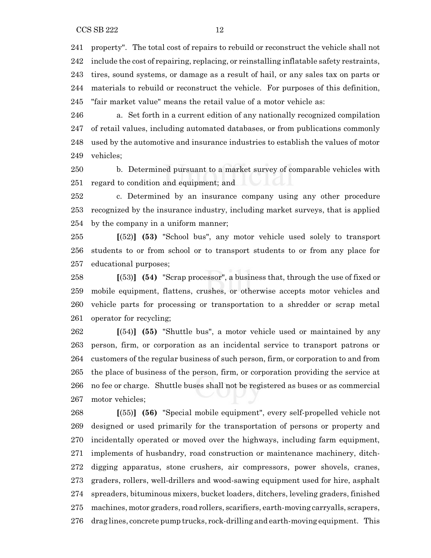$CCSSB 222$  12

 property". The total cost of repairs to rebuild or reconstruct the vehicle shall not include the cost of repairing, replacing, or reinstalling inflatable safety restraints, tires, sound systems, or damage as a result of hail, or any sales tax on parts or materials to rebuild or reconstruct the vehicle. For purposes of this definition, "fair market value" means the retail value of a motor vehicle as:

 a. Set forth in a current edition of any nationally recognized compilation of retail values, including automated databases, or from publications commonly used by the automotive and insurance industries to establish the values of motor vehicles;

 b. Determined pursuant to a market survey of comparable vehicles with regard to condition and equipment; and

 c. Determined by an insurance company using any other procedure recognized by the insurance industry, including market surveys, that is applied by the company in a uniform manner;

 **[**(52)**] (53)** "School bus", any motor vehicle used solely to transport students to or from school or to transport students to or from any place for educational purposes;

 **[**(53)**] (54)** "Scrap processor", a business that, through the use of fixed or mobile equipment, flattens, crushes, or otherwise accepts motor vehicles and vehicle parts for processing or transportation to a shredder or scrap metal operator for recycling;

 **[**(54)**] (55)** "Shuttle bus", a motor vehicle used or maintained by any person, firm, or corporation as an incidental service to transport patrons or customers of the regular business of such person, firm, or corporation to and from the place of business of the person, firm, or corporation providing the service at no fee or charge. Shuttle buses shall not be registered as buses or as commercial motor vehicles;

 **[**(55)**] (56)** "Special mobile equipment", every self-propelled vehicle not designed or used primarily for the transportation of persons or property and incidentally operated or moved over the highways, including farm equipment, implements of husbandry, road construction or maintenance machinery, ditch- digging apparatus, stone crushers, air compressors, power shovels, cranes, graders, rollers, well-drillers and wood-sawing equipment used for hire, asphalt spreaders, bituminous mixers, bucket loaders, ditchers, leveling graders, finished machines, motor graders, road rollers, scarifiers, earth-moving carryalls, scrapers, drag lines, concrete pump trucks, rock-drilling and earth-moving equipment. This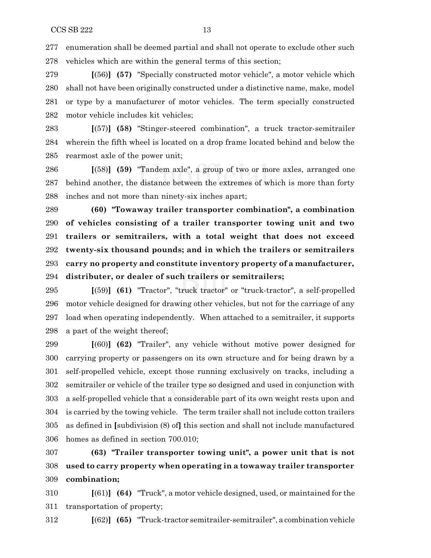enumeration shall be deemed partial and shall not operate to exclude other such vehicles which are within the general terms of this section;

 **[**(56)**] (57)** "Specially constructed motor vehicle", a motor vehicle which shall not have been originally constructed under a distinctive name, make, model or type by a manufacturer of motor vehicles. The term specially constructed motor vehicle includes kit vehicles;

 **[**(57)**] (58)** "Stinger-steered combination", a truck tractor-semitrailer wherein the fifth wheel is located on a drop frame located behind and below the rearmost axle of the power unit;

 **[**(58)**] (59)** "Tandem axle", a group of two or more axles, arranged one behind another, the distance between the extremes of which is more than forty inches and not more than ninety-six inches apart;

 **(60) "Towaway trailer transporter combination", a combination of vehicles consisting of a trailer transporter towing unit and two trailers or semitrailers, with a total weight that does not exceed twenty-six thousand pounds; and in which the trailers or semitrailers carry no property and constitute inventory property of a manufacturer, distributer, or dealer of such trailers or semitrailers;**

 **[**(59)**] (61)** "Tractor", "truck tractor" or "truck-tractor", a self-propelled motor vehicle designed for drawing other vehicles, but not for the carriage of any load when operating independently. When attached to a semitrailer, it supports a part of the weight thereof;

 **[**(60)**] (62)** "Trailer", any vehicle without motive power designed for carrying property or passengers on its own structure and for being drawn by a self-propelled vehicle, except those running exclusively on tracks, including a semitrailer or vehicle of the trailer type so designed and used in conjunction with a self-propelled vehicle that a considerable part of its own weight rests upon and is carried by the towing vehicle. The term trailer shall not include cotton trailers as defined in **[**subdivision (8) of**]** this section and shall not include manufactured homes as defined in section 700.010;

 **(63) "Trailer transporter towing unit", a power unit that is not used to carry property when operating in a towaway trailer transporter combination;**

 **[**(61)**] (64)** "Truck", a motor vehicle designed, used, or maintained for the transportation of property;

**[**(62)**] (65)** "Truck-tractor semitrailer-semitrailer", a combination vehicle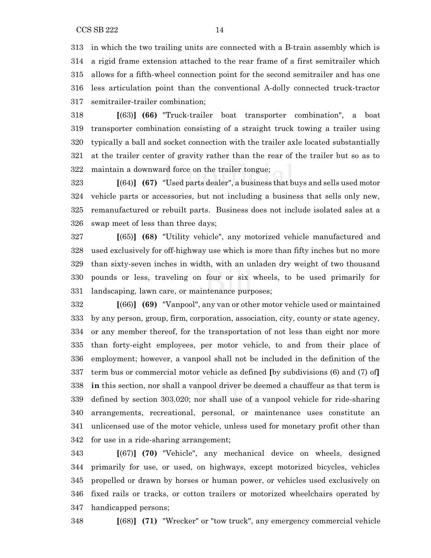in which the two trailing units are connected with a B-train assembly which is a rigid frame extension attached to the rear frame of a first semitrailer which allows for a fifth-wheel connection point for the second semitrailer and has one less articulation point than the conventional A-dolly connected truck-tractor semitrailer-trailer combination;

 **[**(63)**] (66)** "Truck-trailer boat transporter combination", a boat transporter combination consisting of a straight truck towing a trailer using typically a ball and socket connection with the trailer axle located substantially at the trailer center of gravity rather than the rear of the trailer but so as to maintain a downward force on the trailer tongue;

 **[**(64)**] (67)** "Used parts dealer", a business that buys and sells used motor vehicle parts or accessories, but not including a business that sells only new, remanufactured or rebuilt parts. Business does not include isolated sales at a swap meet of less than three days;

 **[**(65)**] (68)** "Utility vehicle", any motorized vehicle manufactured and used exclusively for off-highway use which is more than fifty inches but no more than sixty-seven inches in width, with an unladen dry weight of two thousand pounds or less, traveling on four or six wheels, to be used primarily for landscaping, lawn care, or maintenance purposes;

 **[**(66)**] (69)** "Vanpool", any van or other motor vehicle used or maintained by any person, group, firm, corporation, association, city, county or state agency, or any member thereof, for the transportation of not less than eight nor more than forty-eight employees, per motor vehicle, to and from their place of employment; however, a vanpool shall not be included in the definition of the term bus or commercial motor vehicle as defined **[**by subdivisions (6) and (7) of**] in** this section, nor shall a vanpool driver be deemed a chauffeur as that term is defined by section 303.020; nor shall use of a vanpool vehicle for ride-sharing arrangements, recreational, personal, or maintenance uses constitute an unlicensed use of the motor vehicle, unless used for monetary profit other than for use in a ride-sharing arrangement;

 **[**(67)**] (70)** "Vehicle", any mechanical device on wheels, designed primarily for use, or used, on highways, except motorized bicycles, vehicles propelled or drawn by horses or human power, or vehicles used exclusively on fixed rails or tracks, or cotton trailers or motorized wheelchairs operated by handicapped persons;

**[**(68)**] (71)** "Wrecker" or "tow truck", any emergency commercial vehicle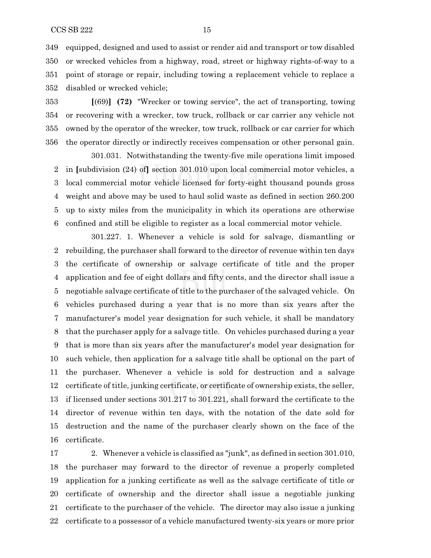equipped, designed and used to assist or render aid and transport or tow disabled or wrecked vehicles from a highway, road, street or highway rights-of-way to a point of storage or repair, including towing a replacement vehicle to replace a disabled or wrecked vehicle;

 **[**(69)**] (72)** "Wrecker or towing service", the act of transporting, towing or recovering with a wrecker, tow truck, rollback or car carrier any vehicle not owned by the operator of the wrecker, tow truck, rollback or car carrier for which the operator directly or indirectly receives compensation or other personal gain.

301.031. Notwithstanding the twenty-five mile operations limit imposed in **[**subdivision (24) of**]** section 301.010 upon local commercial motor vehicles, a local commercial motor vehicle licensed for forty-eight thousand pounds gross weight and above may be used to haul solid waste as defined in section 260.200 up to sixty miles from the municipality in which its operations are otherwise confined and still be eligible to register as a local commercial motor vehicle.

301.227. 1. Whenever a vehicle is sold for salvage, dismantling or rebuilding, the purchaser shall forward to the director of revenue within ten days the certificate of ownership or salvage certificate of title and the proper application and fee of eight dollars and fifty cents, and the director shall issue a negotiable salvage certificate of title to the purchaser of the salvaged vehicle. On vehicles purchased during a year that is no more than six years after the manufacturer's model year designation for such vehicle, it shall be mandatory that the purchaser apply for a salvage title. On vehicles purchased during a year that is more than six years after the manufacturer's model year designation for such vehicle, then application for a salvage title shall be optional on the part of the purchaser. Whenever a vehicle is sold for destruction and a salvage certificate of title, junking certificate, or certificate of ownership exists, the seller, if licensed under sections 301.217 to 301.221, shall forward the certificate to the director of revenue within ten days, with the notation of the date sold for destruction and the name of the purchaser clearly shown on the face of the certificate.

 2. Whenever a vehicle is classified as "junk", as defined in section 301.010, the purchaser may forward to the director of revenue a properly completed application for a junking certificate as well as the salvage certificate of title or certificate of ownership and the director shall issue a negotiable junking certificate to the purchaser of the vehicle. The director may also issue a junking certificate to a possessor of a vehicle manufactured twenty-six years or more prior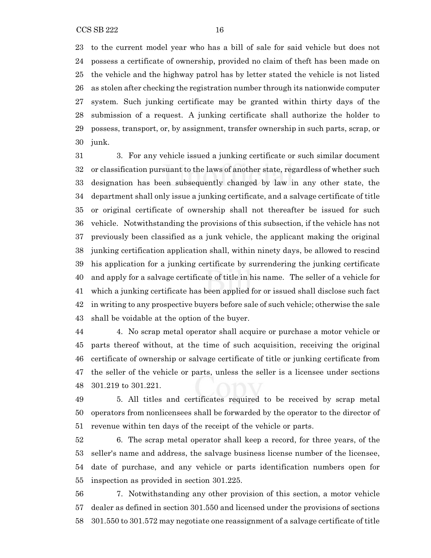to the current model year who has a bill of sale for said vehicle but does not possess a certificate of ownership, provided no claim of theft has been made on the vehicle and the highway patrol has by letter stated the vehicle is not listed as stolen after checking the registration number through its nationwide computer system. Such junking certificate may be granted within thirty days of the submission of a request. A junking certificate shall authorize the holder to possess, transport, or, by assignment, transfer ownership in such parts, scrap, or junk.

 3. For any vehicle issued a junking certificate or such similar document or classification pursuant to the laws of another state, regardless of whether such designation has been subsequently changed by law in any other state, the department shall only issue a junking certificate, and a salvage certificate of title or original certificate of ownership shall not thereafter be issued for such vehicle. Notwithstanding the provisions of this subsection, if the vehicle has not previously been classified as a junk vehicle, the applicant making the original junking certification application shall, within ninety days, be allowed to rescind his application for a junking certificate by surrendering the junking certificate and apply for a salvage certificate of title in his name. The seller of a vehicle for which a junking certificate has been applied for or issued shall disclose such fact in writing to any prospective buyers before sale of such vehicle; otherwise the sale shall be voidable at the option of the buyer.

 4. No scrap metal operator shall acquire or purchase a motor vehicle or parts thereof without, at the time of such acquisition, receiving the original certificate of ownership or salvage certificate of title or junking certificate from the seller of the vehicle or parts, unless the seller is a licensee under sections 301.219 to 301.221.

 5. All titles and certificates required to be received by scrap metal operators from nonlicensees shall be forwarded by the operator to the director of revenue within ten days of the receipt of the vehicle or parts.

 6. The scrap metal operator shall keep a record, for three years, of the seller's name and address, the salvage business license number of the licensee, date of purchase, and any vehicle or parts identification numbers open for inspection as provided in section 301.225.

 7. Notwithstanding any other provision of this section, a motor vehicle dealer as defined in section 301.550 and licensed under the provisions of sections 301.550 to 301.572 may negotiate one reassignment of a salvage certificate of title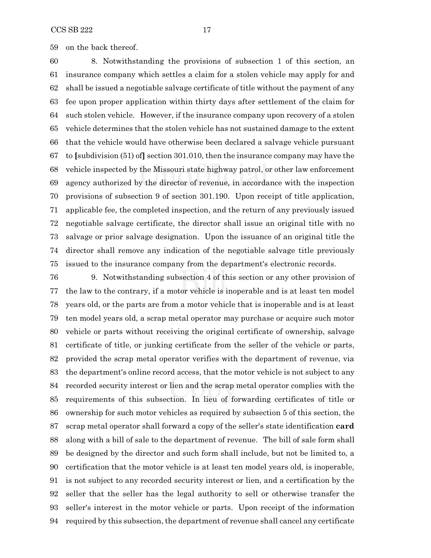on the back thereof.

 8. Notwithstanding the provisions of subsection 1 of this section, an insurance company which settles a claim for a stolen vehicle may apply for and shall be issued a negotiable salvage certificate of title without the payment of any fee upon proper application within thirty days after settlement of the claim for such stolen vehicle. However, if the insurance company upon recovery of a stolen vehicle determines that the stolen vehicle has not sustained damage to the extent that the vehicle would have otherwise been declared a salvage vehicle pursuant to **[**subdivision (51) of**]** section 301.010, then the insurance company may have the vehicle inspected by the Missouri state highway patrol, or other law enforcement agency authorized by the director of revenue, in accordance with the inspection provisions of subsection 9 of section 301.190. Upon receipt of title application, applicable fee, the completed inspection, and the return of any previously issued negotiable salvage certificate, the director shall issue an original title with no salvage or prior salvage designation. Upon the issuance of an original title the director shall remove any indication of the negotiable salvage title previously issued to the insurance company from the department's electronic records.

 9. Notwithstanding subsection 4 of this section or any other provision of the law to the contrary, if a motor vehicle is inoperable and is at least ten model years old, or the parts are from a motor vehicle that is inoperable and is at least ten model years old, a scrap metal operator may purchase or acquire such motor vehicle or parts without receiving the original certificate of ownership, salvage certificate of title, or junking certificate from the seller of the vehicle or parts, provided the scrap metal operator verifies with the department of revenue, via the department's online record access, that the motor vehicle is not subject to any recorded security interest or lien and the scrap metal operator complies with the requirements of this subsection. In lieu of forwarding certificates of title or ownership for such motor vehicles as required by subsection 5 of this section, the scrap metal operator shall forward a copy of the seller's state identification **card** along with a bill of sale to the department of revenue. The bill of sale form shall be designed by the director and such form shall include, but not be limited to, a certification that the motor vehicle is at least ten model years old, is inoperable, is not subject to any recorded security interest or lien, and a certification by the seller that the seller has the legal authority to sell or otherwise transfer the seller's interest in the motor vehicle or parts. Upon receipt of the information required by this subsection, the department of revenue shall cancel any certificate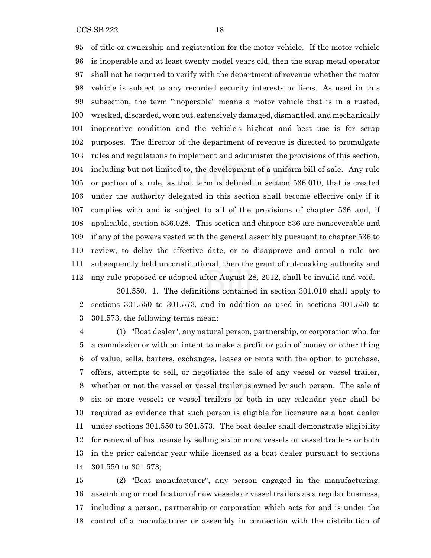of title or ownership and registration for the motor vehicle. If the motor vehicle is inoperable and at least twenty model years old, then the scrap metal operator shall not be required to verify with the department of revenue whether the motor vehicle is subject to any recorded security interests or liens. As used in this subsection, the term "inoperable" means a motor vehicle that is in a rusted, wrecked, discarded, worn out, extensively damaged, dismantled, and mechanically inoperative condition and the vehicle's highest and best use is for scrap purposes. The director of the department of revenue is directed to promulgate rules and regulations to implement and administer the provisions of this section, including but not limited to, the development of a uniform bill of sale. Any rule or portion of a rule, as that term is defined in section 536.010, that is created under the authority delegated in this section shall become effective only if it complies with and is subject to all of the provisions of chapter 536 and, if applicable, section 536.028. This section and chapter 536 are nonseverable and if any of the powers vested with the general assembly pursuant to chapter 536 to review, to delay the effective date, or to disapprove and annul a rule are subsequently held unconstitutional, then the grant of rulemaking authority and any rule proposed or adopted after August 28, 2012, shall be invalid and void.

301.550. 1. The definitions contained in section 301.010 shall apply to sections 301.550 to 301.573, and in addition as used in sections 301.550 to 301.573, the following terms mean:

 (1) "Boat dealer", any natural person, partnership, or corporation who, for a commission or with an intent to make a profit or gain of money or other thing of value, sells, barters, exchanges, leases or rents with the option to purchase, offers, attempts to sell, or negotiates the sale of any vessel or vessel trailer, whether or not the vessel or vessel trailer is owned by such person. The sale of six or more vessels or vessel trailers or both in any calendar year shall be required as evidence that such person is eligible for licensure as a boat dealer under sections 301.550 to 301.573. The boat dealer shall demonstrate eligibility for renewal of his license by selling six or more vessels or vessel trailers or both in the prior calendar year while licensed as a boat dealer pursuant to sections 301.550 to 301.573;

 (2) "Boat manufacturer", any person engaged in the manufacturing, assembling or modification of new vessels or vessel trailers as a regular business, including a person, partnership or corporation which acts for and is under the control of a manufacturer or assembly in connection with the distribution of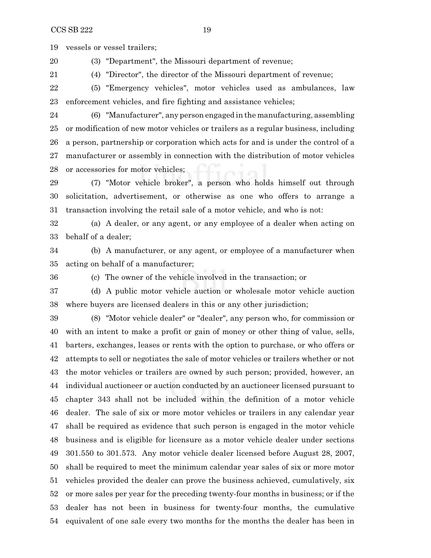vessels or vessel trailers;

(3) "Department", the Missouri department of revenue;

(4) "Director", the director of the Missouri department of revenue;

 (5) "Emergency vehicles", motor vehicles used as ambulances, law enforcement vehicles, and fire fighting and assistance vehicles;

 (6) "Manufacturer", any person engaged in the manufacturing, assembling or modification of new motor vehicles or trailers as a regular business, including a person, partnership or corporation which acts for and is under the control of a manufacturer or assembly in connection with the distribution of motor vehicles or accessories for motor vehicles;

 (7) "Motor vehicle broker", a person who holds himself out through solicitation, advertisement, or otherwise as one who offers to arrange a transaction involving the retail sale of a motor vehicle, and who is not:

 (a) A dealer, or any agent, or any employee of a dealer when acting on behalf of a dealer;

 (b) A manufacturer, or any agent, or employee of a manufacturer when acting on behalf of a manufacturer;

(c) The owner of the vehicle involved in the transaction; or

 (d) A public motor vehicle auction or wholesale motor vehicle auction where buyers are licensed dealers in this or any other jurisdiction;

 (8) "Motor vehicle dealer" or "dealer", any person who, for commission or with an intent to make a profit or gain of money or other thing of value, sells, barters, exchanges, leases or rents with the option to purchase, or who offers or attempts to sell or negotiates the sale of motor vehicles or trailers whether or not the motor vehicles or trailers are owned by such person; provided, however, an individual auctioneer or auction conducted by an auctioneer licensed pursuant to chapter 343 shall not be included within the definition of a motor vehicle dealer. The sale of six or more motor vehicles or trailers in any calendar year shall be required as evidence that such person is engaged in the motor vehicle business and is eligible for licensure as a motor vehicle dealer under sections 301.550 to 301.573. Any motor vehicle dealer licensed before August 28, 2007, shall be required to meet the minimum calendar year sales of six or more motor vehicles provided the dealer can prove the business achieved, cumulatively, six or more sales per year for the preceding twenty-four months in business; or if the dealer has not been in business for twenty-four months, the cumulative equivalent of one sale every two months for the months the dealer has been in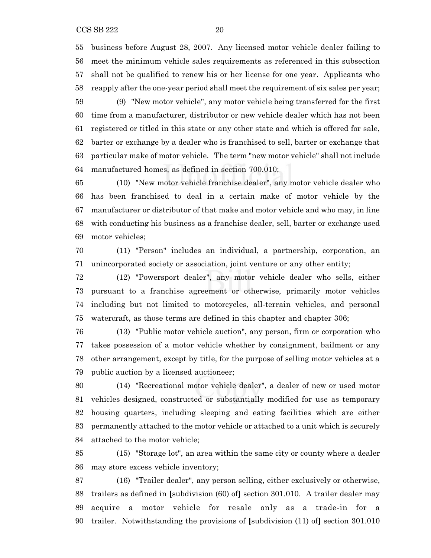business before August 28, 2007. Any licensed motor vehicle dealer failing to meet the minimum vehicle sales requirements as referenced in this subsection shall not be qualified to renew his or her license for one year. Applicants who reapply after the one-year period shall meet the requirement of six sales per year; (9) "New motor vehicle", any motor vehicle being transferred for the first

 time from a manufacturer, distributor or new vehicle dealer which has not been registered or titled in this state or any other state and which is offered for sale, barter or exchange by a dealer who is franchised to sell, barter or exchange that particular make of motor vehicle. The term "new motor vehicle" shall not include manufactured homes, as defined in section 700.010;

 (10) "New motor vehicle franchise dealer", any motor vehicle dealer who has been franchised to deal in a certain make of motor vehicle by the manufacturer or distributor of that make and motor vehicle and who may, in line with conducting his business as a franchise dealer, sell, barter or exchange used motor vehicles;

 (11) "Person" includes an individual, a partnership, corporation, an unincorporated society or association, joint venture or any other entity;

 (12) "Powersport dealer", any motor vehicle dealer who sells, either pursuant to a franchise agreement or otherwise, primarily motor vehicles including but not limited to motorcycles, all-terrain vehicles, and personal watercraft, as those terms are defined in this chapter and chapter 306;

 (13) "Public motor vehicle auction", any person, firm or corporation who takes possession of a motor vehicle whether by consignment, bailment or any other arrangement, except by title, for the purpose of selling motor vehicles at a public auction by a licensed auctioneer;

 (14) "Recreational motor vehicle dealer", a dealer of new or used motor vehicles designed, constructed or substantially modified for use as temporary housing quarters, including sleeping and eating facilities which are either permanently attached to the motor vehicle or attached to a unit which is securely attached to the motor vehicle;

 (15) "Storage lot", an area within the same city or county where a dealer may store excess vehicle inventory;

 (16) "Trailer dealer", any person selling, either exclusively or otherwise, trailers as defined in **[**subdivision (60) of**]** section 301.010. A trailer dealer may acquire a motor vehicle for resale only as a trade-in for a trailer. Notwithstanding the provisions of **[**subdivision (11) of**]** section 301.010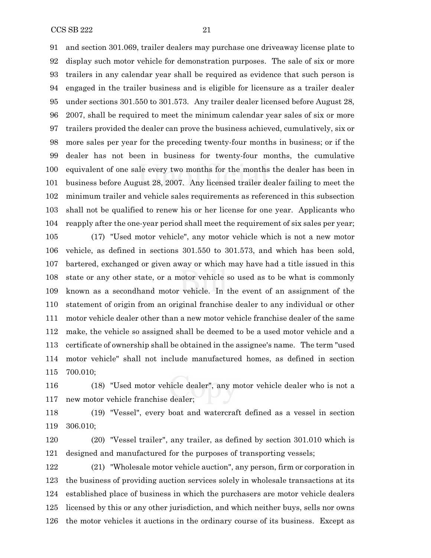$CCSSB 222$  21

 and section 301.069, trailer dealers may purchase one driveaway license plate to display such motor vehicle for demonstration purposes. The sale of six or more trailers in any calendar year shall be required as evidence that such person is engaged in the trailer business and is eligible for licensure as a trailer dealer under sections 301.550 to 301.573. Any trailer dealer licensed before August 28, 2007, shall be required to meet the minimum calendar year sales of six or more trailers provided the dealer can prove the business achieved, cumulatively, six or more sales per year for the preceding twenty-four months in business; or if the dealer has not been in business for twenty-four months, the cumulative equivalent of one sale every two months for the months the dealer has been in business before August 28, 2007. Any licensed trailer dealer failing to meet the minimum trailer and vehicle sales requirements as referenced in this subsection shall not be qualified to renew his or her license for one year. Applicants who reapply after the one-year period shall meet the requirement of six sales per year;

 (17) "Used motor vehicle", any motor vehicle which is not a new motor vehicle, as defined in sections 301.550 to 301.573, and which has been sold, bartered, exchanged or given away or which may have had a title issued in this state or any other state, or a motor vehicle so used as to be what is commonly known as a secondhand motor vehicle. In the event of an assignment of the statement of origin from an original franchise dealer to any individual or other motor vehicle dealer other than a new motor vehicle franchise dealer of the same make, the vehicle so assigned shall be deemed to be a used motor vehicle and a certificate of ownership shall be obtained in the assignee's name. The term "used motor vehicle" shall not include manufactured homes, as defined in section 700.010;

 (18) "Used motor vehicle dealer", any motor vehicle dealer who is not a new motor vehicle franchise dealer;

 (19) "Vessel", every boat and watercraft defined as a vessel in section 306.010;

 (20) "Vessel trailer", any trailer, as defined by section 301.010 which is designed and manufactured for the purposes of transporting vessels;

 (21) "Wholesale motor vehicle auction", any person, firm or corporation in the business of providing auction services solely in wholesale transactions at its established place of business in which the purchasers are motor vehicle dealers licensed by this or any other jurisdiction, and which neither buys, sells nor owns the motor vehicles it auctions in the ordinary course of its business. Except as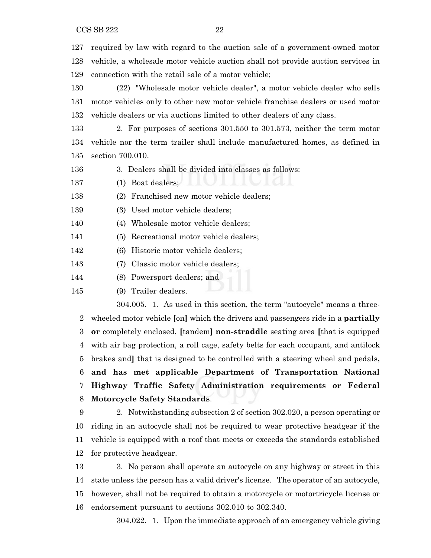$CCSSB 222$  22

 required by law with regard to the auction sale of a government-owned motor vehicle, a wholesale motor vehicle auction shall not provide auction services in connection with the retail sale of a motor vehicle;

 (22) "Wholesale motor vehicle dealer", a motor vehicle dealer who sells motor vehicles only to other new motor vehicle franchise dealers or used motor vehicle dealers or via auctions limited to other dealers of any class.

 2. For purposes of sections 301.550 to 301.573, neither the term motor vehicle nor the term trailer shall include manufactured homes, as defined in section 700.010.

3. Dealers shall be divided into classes as follows:

(1) Boat dealers;

(2) Franchised new motor vehicle dealers;

(3) Used motor vehicle dealers;

(4) Wholesale motor vehicle dealers;

(5) Recreational motor vehicle dealers;

(6) Historic motor vehicle dealers;

(7) Classic motor vehicle dealers;

(8) Powersport dealers; and

(9) Trailer dealers.

304.005. 1. As used in this section, the term "autocycle" means a three- wheeled motor vehicle **[**on**]** which the drivers and passengers ride in a **partially or** completely enclosed, **[**tandem**] non-straddle** seating area **[**that is equipped with air bag protection, a roll cage, safety belts for each occupant, and antilock brakes and**]** that is designed to be controlled with a steering wheel and pedals**, and has met applicable Department of Transportation National Highway Traffic Safety Administration requirements or Federal Motorcycle Safety Standards**.

 2. Notwithstanding subsection 2 of section 302.020, a person operating or riding in an autocycle shall not be required to wear protective headgear if the vehicle is equipped with a roof that meets or exceeds the standards established for protective headgear.

 3. No person shall operate an autocycle on any highway or street in this state unless the person has a valid driver's license. The operator of an autocycle, however, shall not be required to obtain a motorcycle or motortricycle license or endorsement pursuant to sections 302.010 to 302.340.

304.022. 1. Upon the immediate approach of an emergency vehicle giving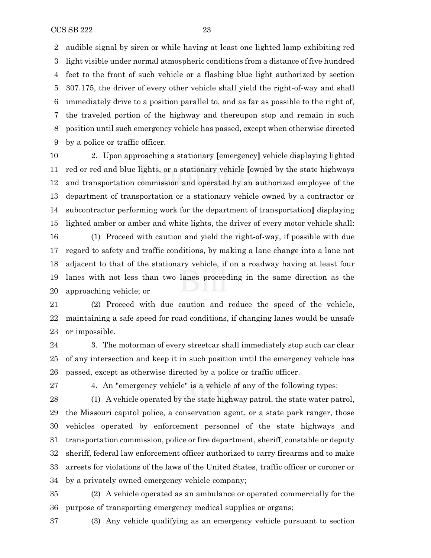audible signal by siren or while having at least one lighted lamp exhibiting red light visible under normal atmospheric conditions from a distance of five hundred feet to the front of such vehicle or a flashing blue light authorized by section 307.175, the driver of every other vehicle shall yield the right-of-way and shall immediately drive to a position parallel to, and as far as possible to the right of, the traveled portion of the highway and thereupon stop and remain in such position until such emergency vehicle has passed, except when otherwise directed by a police or traffic officer.

 2. Upon approaching a stationary **[**emergency**]** vehicle displaying lighted red or red and blue lights, or a stationary vehicle **[**owned by the state highways and transportation commission and operated by an authorized employee of the department of transportation or a stationary vehicle owned by a contractor or subcontractor performing work for the department of transportation**]** displaying lighted amber or amber and white lights, the driver of every motor vehicle shall:

 (1) Proceed with caution and yield the right-of-way, if possible with due regard to safety and traffic conditions, by making a lane change into a lane not adjacent to that of the stationary vehicle, if on a roadway having at least four lanes with not less than two lanes proceeding in the same direction as the approaching vehicle; or

 (2) Proceed with due caution and reduce the speed of the vehicle, maintaining a safe speed for road conditions, if changing lanes would be unsafe or impossible.

 3. The motorman of every streetcar shall immediately stop such car clear of any intersection and keep it in such position until the emergency vehicle has passed, except as otherwise directed by a police or traffic officer.

4. An "emergency vehicle" is a vehicle of any of the following types:

 (1) A vehicle operated by the state highway patrol, the state water patrol, the Missouri capitol police, a conservation agent, or a state park ranger, those vehicles operated by enforcement personnel of the state highways and transportation commission, police or fire department, sheriff, constable or deputy sheriff, federal law enforcement officer authorized to carry firearms and to make arrests for violations of the laws of the United States, traffic officer or coroner or by a privately owned emergency vehicle company;

 (2) A vehicle operated as an ambulance or operated commercially for the purpose of transporting emergency medical supplies or organs;

(3) Any vehicle qualifying as an emergency vehicle pursuant to section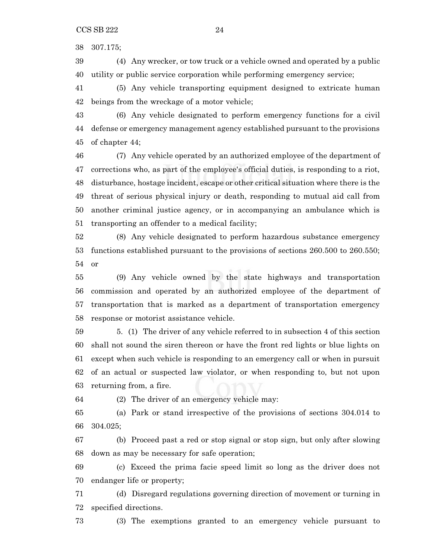307.175;

 (4) Any wrecker, or tow truck or a vehicle owned and operated by a public utility or public service corporation while performing emergency service;

 (5) Any vehicle transporting equipment designed to extricate human beings from the wreckage of a motor vehicle;

 (6) Any vehicle designated to perform emergency functions for a civil defense or emergency management agency established pursuant to the provisions of chapter 44;

 (7) Any vehicle operated by an authorized employee of the department of corrections who, as part of the employee's official duties, is responding to a riot, disturbance, hostage incident, escape or other critical situation where there is the threat of serious physical injury or death, responding to mutual aid call from another criminal justice agency, or in accompanying an ambulance which is transporting an offender to a medical facility;

 (8) Any vehicle designated to perform hazardous substance emergency functions established pursuant to the provisions of sections 260.500 to 260.550; or

 (9) Any vehicle owned by the state highways and transportation commission and operated by an authorized employee of the department of transportation that is marked as a department of transportation emergency response or motorist assistance vehicle.

 5. (1) The driver of any vehicle referred to in subsection 4 of this section shall not sound the siren thereon or have the front red lights or blue lights on except when such vehicle is responding to an emergency call or when in pursuit of an actual or suspected law violator, or when responding to, but not upon returning from, a fire.

(2) The driver of an emergency vehicle may:

 (a) Park or stand irrespective of the provisions of sections 304.014 to 304.025;

 (b) Proceed past a red or stop signal or stop sign, but only after slowing down as may be necessary for safe operation;

 (c) Exceed the prima facie speed limit so long as the driver does not endanger life or property;

 (d) Disregard regulations governing direction of movement or turning in specified directions.

(3) The exemptions granted to an emergency vehicle pursuant to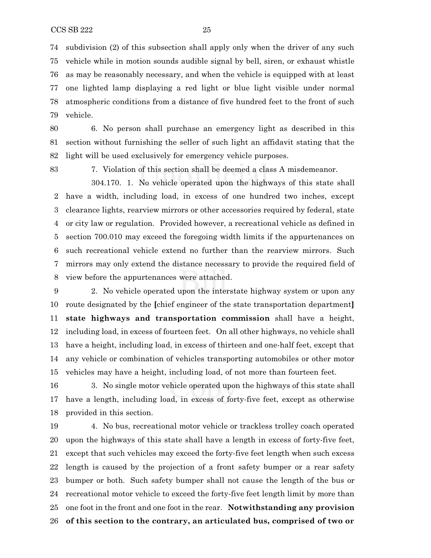subdivision (2) of this subsection shall apply only when the driver of any such vehicle while in motion sounds audible signal by bell, siren, or exhaust whistle as may be reasonably necessary, and when the vehicle is equipped with at least one lighted lamp displaying a red light or blue light visible under normal atmospheric conditions from a distance of five hundred feet to the front of such vehicle.

 6. No person shall purchase an emergency light as described in this section without furnishing the seller of such light an affidavit stating that the light will be used exclusively for emergency vehicle purposes.

7. Violation of this section shall be deemed a class A misdemeanor.

304.170. 1. No vehicle operated upon the highways of this state shall have a width, including load, in excess of one hundred two inches, except clearance lights, rearview mirrors or other accessories required by federal, state or city law or regulation. Provided however, a recreational vehicle as defined in section 700.010 may exceed the foregoing width limits if the appurtenances on such recreational vehicle extend no further than the rearview mirrors. Such mirrors may only extend the distance necessary to provide the required field of view before the appurtenances were attached.

 2. No vehicle operated upon the interstate highway system or upon any route designated by the **[**chief engineer of the state transportation department**] state highways and transportation commission** shall have a height, including load, in excess of fourteen feet. On all other highways, no vehicle shall have a height, including load, in excess of thirteen and one-half feet, except that any vehicle or combination of vehicles transporting automobiles or other motor vehicles may have a height, including load, of not more than fourteen feet.

 3. No single motor vehicle operated upon the highways of this state shall have a length, including load, in excess of forty-five feet, except as otherwise provided in this section.

 4. No bus, recreational motor vehicle or trackless trolley coach operated upon the highways of this state shall have a length in excess of forty-five feet, except that such vehicles may exceed the forty-five feet length when such excess length is caused by the projection of a front safety bumper or a rear safety bumper or both. Such safety bumper shall not cause the length of the bus or recreational motor vehicle to exceed the forty-five feet length limit by more than one foot in the front and one foot in the rear. **Notwithstanding any provision of this section to the contrary, an articulated bus, comprised of two or**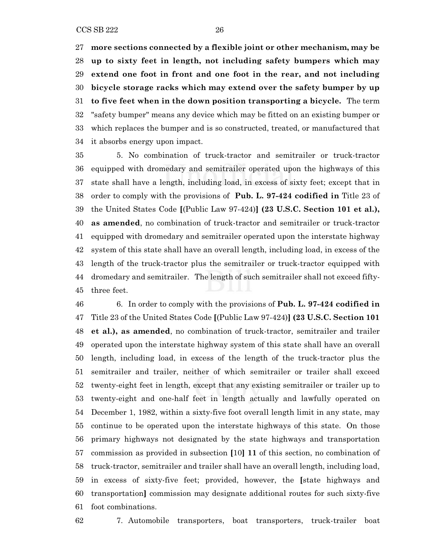**more sections connected by a flexible joint or other mechanism, may be up to sixty feet in length, not including safety bumpers which may extend one foot in front and one foot in the rear, and not including bicycle storage racks which may extend over the safety bumper by up to five feet when in the down position transporting a bicycle.** The term "safety bumper" means any device which may be fitted on an existing bumper or which replaces the bumper and is so constructed, treated, or manufactured that it absorbs energy upon impact.

 5. No combination of truck-tractor and semitrailer or truck-tractor equipped with dromedary and semitrailer operated upon the highways of this state shall have a length, including load, in excess of sixty feet; except that in order to comply with the provisions of **Pub. L. 97-424 codified in** Title 23 of the United States Code **[**(Public Law 97-424)**] (23 U.S.C. Section 101 et al.), as amended**, no combination of truck-tractor and semitrailer or truck-tractor equipped with dromedary and semitrailer operated upon the interstate highway system of this state shall have an overall length, including load, in excess of the length of the truck-tractor plus the semitrailer or truck-tractor equipped with dromedary and semitrailer. The length of such semitrailer shall not exceed fifty-three feet.

 6. In order to comply with the provisions of **Pub. L. 97-424 codified in** Title 23 of the United States Code **[**(Public Law 97-424)**] (23 U.S.C. Section 101 et al.), as amended**, no combination of truck-tractor, semitrailer and trailer operated upon the interstate highway system of this state shall have an overall length, including load, in excess of the length of the truck-tractor plus the semitrailer and trailer, neither of which semitrailer or trailer shall exceed twenty-eight feet in length, except that any existing semitrailer or trailer up to twenty-eight and one-half feet in length actually and lawfully operated on December 1, 1982, within a sixty-five foot overall length limit in any state, may continue to be operated upon the interstate highways of this state. On those primary highways not designated by the state highways and transportation commission as provided in subsection **[**10**] 11** of this section, no combination of truck-tractor, semitrailer and trailer shall have an overall length, including load, in excess of sixty-five feet; provided, however, the **[**state highways and transportation**]** commission may designate additional routes for such sixty-five foot combinations.

7. Automobile transporters, boat transporters, truck-trailer boat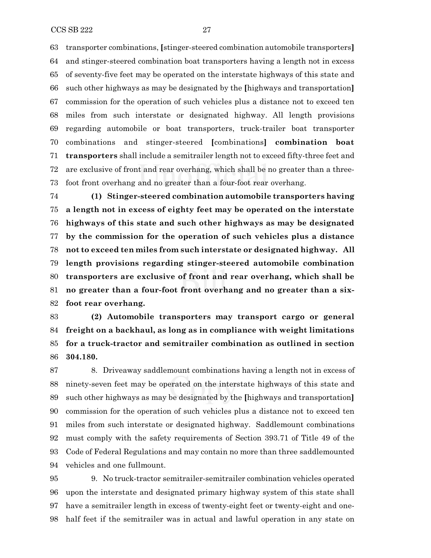transporter combinations, **[**stinger-steered combination automobile transporters**]** and stinger-steered combination boat transporters having a length not in excess of seventy-five feet may be operated on the interstate highways of this state and such other highways as may be designated by the **[**highways and transportation**]** commission for the operation of such vehicles plus a distance not to exceed ten miles from such interstate or designated highway. All length provisions regarding automobile or boat transporters, truck-trailer boat transporter combinations and stinger-steered **[**combinations**] combination boat transporters** shall include a semitrailer length not to exceed fifty-three feet and are exclusive of front and rear overhang, which shall be no greater than a three-foot front overhang and no greater than a four-foot rear overhang.

 **(1) Stinger-steered combination automobile transporters having a length not in excess of eighty feet may be operated on the interstate highways of this state and such other highways as may be designated by the commission for the operation of such vehicles plus a distance not to exceed ten miles from such interstate or designated highway. All length provisions regarding stinger-steered automobile combination transporters are exclusive of front and rear overhang, which shall be no greater than a four-foot front overhang and no greater than a six-foot rear overhang.**

 **(2) Automobile transporters may transport cargo or general freight on a backhaul, as long as in compliance with weight limitations for a truck-tractor and semitrailer combination as outlined in section 304.180.**

 8. Driveaway saddlemount combinations having a length not in excess of ninety-seven feet may be operated on the interstate highways of this state and such other highways as may be designated by the **[**highways and transportation**]** commission for the operation of such vehicles plus a distance not to exceed ten miles from such interstate or designated highway. Saddlemount combinations must comply with the safety requirements of Section 393.71 of Title 49 of the Code of Federal Regulations and may contain no more than three saddlemounted vehicles and one fullmount.

 9. No truck-tractor semitrailer-semitrailer combination vehicles operated upon the interstate and designated primary highway system of this state shall have a semitrailer length in excess of twenty-eight feet or twenty-eight and one-half feet if the semitrailer was in actual and lawful operation in any state on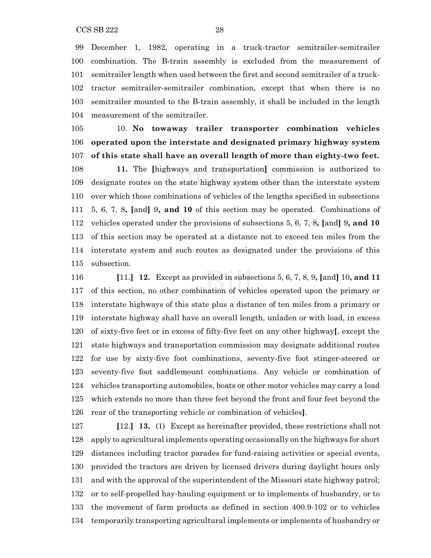December 1, 1982, operating in a truck-tractor semitrailer-semitrailer combination. The B-train assembly is excluded from the measurement of semitrailer length when used between the first and second semitrailer of a truck- tractor semitrailer-semitrailer combination, except that when there is no semitrailer mounted to the B-train assembly, it shall be included in the length measurement of the semitrailer.

 10. **No towaway trailer transporter combination vehicles operated upon the interstate and designated primary highway system of this state shall have an overall length of more than eighty-two feet. 11.** The **[**highways and transportation**]** commission is authorized to designate routes on the state highway system other than the interstate system over which those combinations of vehicles of the lengths specified in subsections 5, 6, 7, 8**, [**and**]** 9**, and 10** of this section may be operated. Combinations of vehicles operated under the provisions of subsections 5, 6, 7, 8**, [**and**]** 9**, and 10** of this section may be operated at a distance not to exceed ten miles from the interstate system and such routes as designated under the provisions of this subsection.

 **[**11.**] 12.** Except as provided in subsections 5, 6, 7, 8, 9**, [**and**]** 10**, and 11** of this section, no other combination of vehicles operated upon the primary or interstate highways of this state plus a distance of ten miles from a primary or interstate highway shall have an overall length, unladen or with load, in excess of sixty-five feet or in excess of fifty-five feet on any other highway**[**, except the state highways and transportation commission may designate additional routes for use by sixty-five foot combinations, seventy-five foot stinger-steered or seventy-five foot saddlemount combinations. Any vehicle or combination of vehicles transporting automobiles, boats or other motor vehicles may carry a load which extends no more than three feet beyond the front and four feet beyond the rear of the transporting vehicle or combination of vehicles**]**.

 **[**12.**] 13.** (1) Except as hereinafter provided, these restrictions shall not apply to agricultural implements operating occasionally on the highways for short distances including tractor parades for fund-raising activities or special events, provided the tractors are driven by licensed drivers during daylight hours only and with the approval of the superintendent of the Missouri state highway patrol; or to self-propelled hay-hauling equipment or to implements of husbandry, or to the movement of farm products as defined in section 400.9-102 or to vehicles temporarily transporting agricultural implements or implements of husbandry or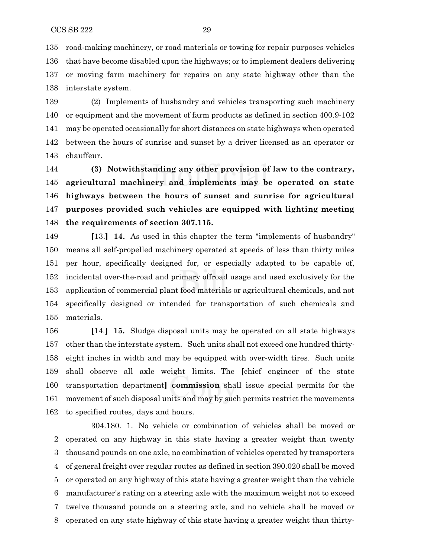road-making machinery, or road materials or towing for repair purposes vehicles that have become disabled upon the highways; or to implement dealers delivering or moving farm machinery for repairs on any state highway other than the interstate system.

 (2) Implements of husbandry and vehicles transporting such machinery or equipment and the movement of farm products as defined in section 400.9-102 may be operated occasionally for short distances on state highways when operated between the hours of sunrise and sunset by a driver licensed as an operator or chauffeur.

 **(3) Notwithstanding any other provision of law to the contrary, agricultural machinery and implements may be operated on state highways between the hours of sunset and sunrise for agricultural purposes provided such vehicles are equipped with lighting meeting the requirements of section 307.115.**

 **[**13.**] 14.** As used in this chapter the term "implements of husbandry" means all self-propelled machinery operated at speeds of less than thirty miles per hour, specifically designed for, or especially adapted to be capable of, incidental over-the-road and primary offroad usage and used exclusively for the application of commercial plant food materials or agricultural chemicals, and not specifically designed or intended for transportation of such chemicals and materials.

 **[**14.**] 15.** Sludge disposal units may be operated on all state highways other than the interstate system. Such units shall not exceed one hundred thirty- eight inches in width and may be equipped with over-width tires. Such units shall observe all axle weight limits. The **[**chief engineer of the state transportation department**] commission** shall issue special permits for the movement of such disposal units and may by such permits restrict the movements to specified routes, days and hours.

304.180. 1. No vehicle or combination of vehicles shall be moved or operated on any highway in this state having a greater weight than twenty thousand pounds on one axle, no combination of vehicles operated by transporters of general freight over regular routes as defined in section 390.020 shall be moved or operated on any highway of this state having a greater weight than the vehicle manufacturer's rating on a steering axle with the maximum weight not to exceed twelve thousand pounds on a steering axle, and no vehicle shall be moved or operated on any state highway of this state having a greater weight than thirty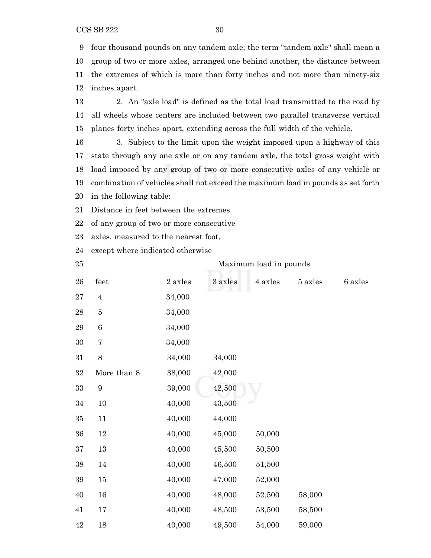CCS SB 222 30

 four thousand pounds on any tandem axle; the term "tandem axle" shall mean a group of two or more axles, arranged one behind another, the distance between the extremes of which is more than forty inches and not more than ninety-six inches apart.

 2. An "axle load" is defined as the total load transmitted to the road by all wheels whose centers are included between two parallel transverse vertical planes forty inches apart, extending across the full width of the vehicle.

 3. Subject to the limit upon the weight imposed upon a highway of this state through any one axle or on any tandem axle, the total gross weight with load imposed by any group of two or more consecutive axles of any vehicle or combination of vehicles shall not exceed the maximum load in pounds as set forth in the following table:

Distance in feet between the extremes

of any group of two or more consecutive

axles, measured to the nearest foot,

- except where indicated otherwise
- 

Maximum load in pounds

| 26     | feet             | 2 axles | 3 axles | 4 axles | 5 axles | 6 axles |
|--------|------------------|---------|---------|---------|---------|---------|
| 27     | $\overline{4}$   | 34,000  |         |         |         |         |
| 28     | $\overline{5}$   | 34,000  |         |         |         |         |
| $\,29$ | $\boldsymbol{6}$ | 34,000  |         |         |         |         |
| 30     | $\overline{7}$   | 34,000  |         |         |         |         |
| 31     | 8                | 34,000  | 34,000  |         |         |         |
| $32\,$ | More than 8      | 38,000  | 42,000  |         |         |         |
| 33     | $\boldsymbol{9}$ | 39,000  | 42,500  |         |         |         |
| 34     | 10               | 40,000  | 43,500  |         |         |         |
| $35\,$ | $11\,$           | 40,000  | 44,000  |         |         |         |
| 36     | $12\,$           | 40,000  | 45,000  | 50,000  |         |         |
| 37     | $13\,$           | 40,000  | 45,500  | 50,500  |         |         |
| 38     | 14               | 40,000  | 46,500  | 51,500  |         |         |
| 39     | $15\,$           | 40,000  | 47,000  | 52,000  |         |         |
| 40     | 16               | 40,000  | 48,000  | 52,500  | 58,000  |         |
| 41     | $17\,$           | 40,000  | 48,500  | 53,500  | 58,500  |         |
| 42     | $18\,$           | 40,000  | 49,500  | 54,000  | 59,000  |         |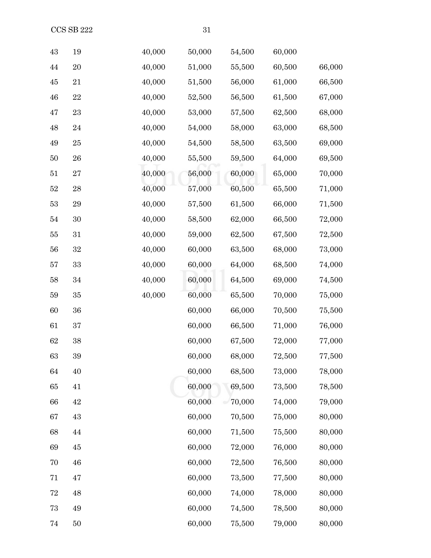| 43 | 19          | 40,000 | 50,000 | 54,500 | 60,000 |        |
|----|-------------|--------|--------|--------|--------|--------|
| 44 | 20          | 40,000 | 51,000 | 55,500 | 60,500 | 66,000 |
| 45 | 21          | 40,000 | 51,500 | 56,000 | 61,000 | 66,500 |
| 46 | 22          | 40,000 | 52,500 | 56,500 | 61,500 | 67,000 |
| 47 | 23          | 40,000 | 53,000 | 57,500 | 62,500 | 68,000 |
| 48 | 24          | 40,000 | 54,000 | 58,000 | 63,000 | 68,500 |
| 49 | $25\,$      | 40,000 | 54,500 | 58,500 | 63,500 | 69,000 |
| 50 | 26          | 40,000 | 55,500 | 59,500 | 64,000 | 69,500 |
| 51 | $\sqrt{27}$ | 40,000 | 56,000 | 60,000 | 65,000 | 70,000 |
| 52 | 28          | 40,000 | 57,000 | 60,500 | 65,500 | 71,000 |
| 53 | 29          | 40,000 | 57,500 | 61,500 | 66,000 | 71,500 |
| 54 | $30\,$      | 40,000 | 58,500 | 62,000 | 66,500 | 72,000 |
| 55 | 31          | 40,000 | 59,000 | 62,500 | 67,500 | 72,500 |
| 56 | $32\,$      | 40,000 | 60,000 | 63,500 | 68,000 | 73,000 |
| 57 | 33          | 40,000 | 60,000 | 64,000 | 68,500 | 74,000 |
| 58 | 34          | 40,000 | 60,000 | 64,500 | 69,000 | 74,500 |
| 59 | 35          | 40,000 | 60,000 | 65,500 | 70,000 | 75,000 |
| 60 | 36          |        | 60,000 | 66,000 | 70,500 | 75,500 |
| 61 | 37          |        | 60,000 | 66,500 | 71,000 | 76,000 |
| 62 | 38          |        | 60,000 | 67,500 | 72,000 | 77,000 |
| 63 | 39          |        | 60,000 | 68,000 | 72,500 | 77,500 |
| 64 | 40          |        | 60,000 | 68,500 | 73,000 | 78,000 |
| 65 | 41          |        | 60,000 | 69,500 | 73,500 | 78,500 |
| 66 | 42          |        | 60,000 | 70,000 | 74,000 | 79,000 |
| 67 | 43          |        | 60,000 | 70,500 | 75,000 | 80,000 |
| 68 | 44          |        | 60,000 | 71,500 | 75,500 | 80,000 |
| 69 | $\rm 45$    |        | 60,000 | 72,000 | 76,000 | 80,000 |
| 70 | 46          |        | 60,000 | 72,500 | 76,500 | 80,000 |
| 71 | 47          |        | 60,000 | 73,500 | 77,500 | 80,000 |
| 72 | 48          |        | 60,000 | 74,000 | 78,000 | 80,000 |
| 73 | 49          |        | 60,000 | 74,500 | 78,500 | 80,000 |
|    |             |        |        |        |        |        |

50 60,000 75,500 79,000 80,000

 $CCS$  SB 222  $31$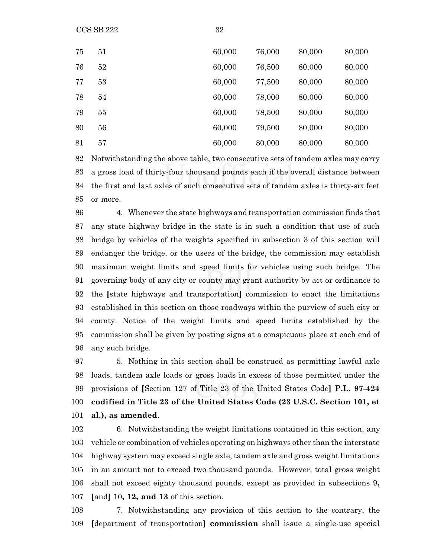$CCS SB 222$   $32$ 

| 75 | 51 | 60,000 | 76,000 | 80,000 | 80,000 |
|----|----|--------|--------|--------|--------|
| 76 | 52 | 60,000 | 76,500 | 80,000 | 80,000 |
| 77 | 53 | 60,000 | 77,500 | 80,000 | 80,000 |
| 78 | 54 | 60,000 | 78,000 | 80,000 | 80,000 |
| 79 | 55 | 60,000 | 78,500 | 80,000 | 80,000 |
| 80 | 56 | 60,000 | 79,500 | 80,000 | 80,000 |
| 81 | 57 | 60,000 | 80,000 | 80,000 | 80,000 |

 Notwithstanding the above table, two consecutive sets of tandem axles may carry a gross load of thirty-four thousand pounds each if the overall distance between the first and last axles of such consecutive sets of tandem axles is thirty-six feet or more.

 4. Whenever the state highways and transportation commission finds that any state highway bridge in the state is in such a condition that use of such bridge by vehicles of the weights specified in subsection 3 of this section will endanger the bridge, or the users of the bridge, the commission may establish maximum weight limits and speed limits for vehicles using such bridge. The governing body of any city or county may grant authority by act or ordinance to the **[**state highways and transportation**]** commission to enact the limitations established in this section on those roadways within the purview of such city or county. Notice of the weight limits and speed limits established by the commission shall be given by posting signs at a conspicuous place at each end of any such bridge.

 5. Nothing in this section shall be construed as permitting lawful axle loads, tandem axle loads or gross loads in excess of those permitted under the provisions of **[**Section 127 of Title 23 of the United States Code**] P.L. 97-424 codified in Title 23 of the United States Code (23 U.S.C. Section 101, et al.), as amended**.

 6. Notwithstanding the weight limitations contained in this section, any vehicle or combination of vehicles operating on highways other than the interstate highway system may exceed single axle, tandem axle and gross weight limitations in an amount not to exceed two thousand pounds. However, total gross weight shall not exceed eighty thousand pounds, except as provided in subsections 9**, [**and**]** 10**, 12, and 13** of this section.

 7. Notwithstanding any provision of this section to the contrary, the **[**department of transportation**] commission** shall issue a single-use special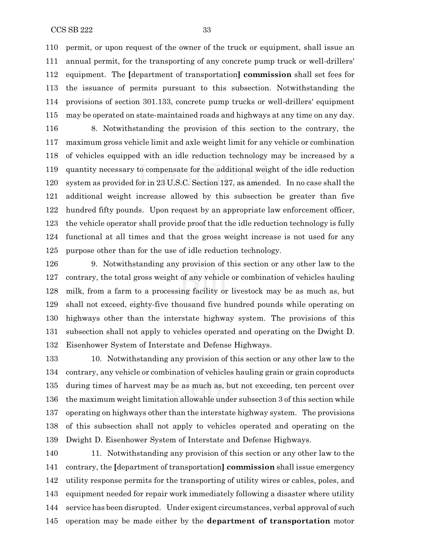permit, or upon request of the owner of the truck or equipment, shall issue an annual permit, for the transporting of any concrete pump truck or well-drillers' equipment. The **[**department of transportation**] commission** shall set fees for the issuance of permits pursuant to this subsection. Notwithstanding the provisions of section 301.133, concrete pump trucks or well-drillers' equipment may be operated on state-maintained roads and highways at any time on any day.

 8. Notwithstanding the provision of this section to the contrary, the maximum gross vehicle limit and axle weight limit for any vehicle or combination of vehicles equipped with an idle reduction technology may be increased by a quantity necessary to compensate for the additional weight of the idle reduction system as provided for in 23 U.S.C. Section 127, as amended. In no case shall the additional weight increase allowed by this subsection be greater than five hundred fifty pounds. Upon request by an appropriate law enforcement officer, the vehicle operator shall provide proof that the idle reduction technology is fully functional at all times and that the gross weight increase is not used for any purpose other than for the use of idle reduction technology.

 9. Notwithstanding any provision of this section or any other law to the contrary, the total gross weight of any vehicle or combination of vehicles hauling milk, from a farm to a processing facility or livestock may be as much as, but shall not exceed, eighty-five thousand five hundred pounds while operating on highways other than the interstate highway system. The provisions of this subsection shall not apply to vehicles operated and operating on the Dwight D. Eisenhower System of Interstate and Defense Highways.

 10. Notwithstanding any provision of this section or any other law to the contrary, any vehicle or combination of vehicles hauling grain or grain coproducts during times of harvest may be as much as, but not exceeding, ten percent over the maximum weight limitation allowable under subsection 3 of this section while operating on highways other than the interstate highway system. The provisions of this subsection shall not apply to vehicles operated and operating on the Dwight D. Eisenhower System of Interstate and Defense Highways.

 11. Notwithstanding any provision of this section or any other law to the contrary, the **[**department of transportation**] commission** shall issue emergency utility response permits for the transporting of utility wires or cables, poles, and equipment needed for repair work immediately following a disaster where utility service has been disrupted. Under exigent circumstances, verbal approval of such operation may be made either by the **department of transportation** motor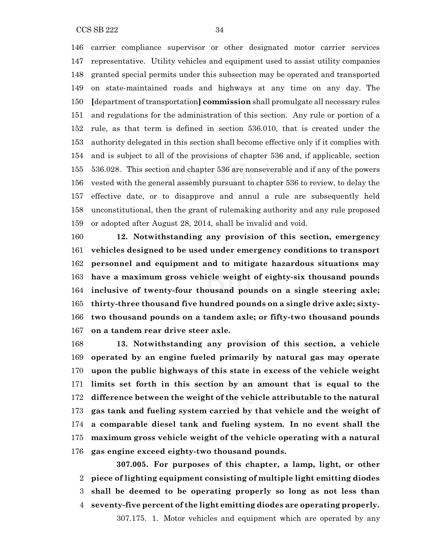CCS SB 222 34

 carrier compliance supervisor or other designated motor carrier services representative. Utility vehicles and equipment used to assist utility companies granted special permits under this subsection may be operated and transported on state-maintained roads and highways at any time on any day. The **[**department oftransportation**] commission** shall promulgate all necessary rules and regulations for the administration of this section. Any rule or portion of a rule, as that term is defined in section 536.010, that is created under the authority delegated in this section shall become effective only if it complies with and is subject to all of the provisions of chapter 536 and, if applicable, section 536.028. This section and chapter 536 are nonseverable and if any of the powers vested with the general assembly pursuant to chapter 536 to review, to delay the effective date, or to disapprove and annul a rule are subsequently held unconstitutional, then the grant of rulemaking authority and any rule proposed or adopted after August 28, 2014, shall be invalid and void.

 **12. Notwithstanding any provision of this section, emergency vehicles designed to be used under emergency conditions to transport personnel and equipment and to mitigate hazardous situations may have a maximum gross vehicle weight of eighty-six thousand pounds inclusive of twenty-four thousand pounds on a single steering axle; thirty-three thousand five hundred pounds on a single drive axle; sixty- two thousand pounds on a tandem axle; or fifty-two thousand pounds on a tandem rear drive steer axle.**

 **13. Notwithstanding any provision of this section, a vehicle operated by an engine fueled primarily by natural gas may operate upon the public highways of this state in excess of the vehicle weight limits set forth in this section by an amount that is equal to the difference between the weight of the vehicle attributable to the natural gas tank and fueling system carried by that vehicle and the weight of a comparable diesel tank and fueling system. In no event shall the maximum gross vehicle weight of the vehicle operating with a natural gas engine exceed eighty-two thousand pounds.**

**307.005. For purposes of this chapter, a lamp, light, or other piece of lighting equipment consisting of multiple light emitting diodes shall be deemed to be operating properly so long as not less than seventy-five percent of the light emitting diodes are operating properly.** 307.175. 1. Motor vehicles and equipment which are operated by any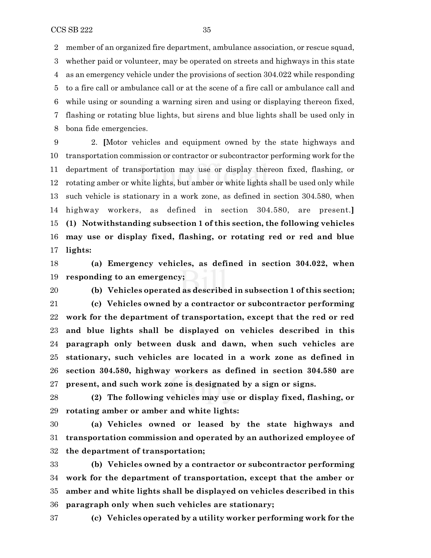member of an organized fire department, ambulance association, or rescue squad, whether paid or volunteer, may be operated on streets and highways in this state as an emergency vehicle under the provisions of section 304.022 while responding to a fire call or ambulance call or at the scene of a fire call or ambulance call and while using or sounding a warning siren and using or displaying thereon fixed, flashing or rotating blue lights, but sirens and blue lights shall be used only in bona fide emergencies.

 2. **[**Motor vehicles and equipment owned by the state highways and transportation commission or contractor or subcontractor performing work for the department of transportation may use or display thereon fixed, flashing, or rotating amber or white lights, but amber or white lights shall be used only while such vehicle is stationary in a work zone, as defined in section 304.580, when highway workers, as defined in section 304.580, are present.**] (1) Notwithstanding subsection 1 of this section, the following vehicles may use or display fixed, flashing, or rotating red or red and blue lights:**

 **(a) Emergency vehicles, as defined in section 304.022, when responding to an emergency;**

 **(b) Vehicles operated as described in subsection 1 of this section; (c) Vehicles owned by a contractor or subcontractor performing work for the department of transportation, except that the red or red and blue lights shall be displayed on vehicles described in this paragraph only between dusk and dawn, when such vehicles are stationary, such vehicles are located in a work zone as defined in section 304.580, highway workers as defined in section 304.580 are present, and such work zone is designated by a sign or signs.**

 **(2) The following vehicles may use or display fixed, flashing, or rotating amber or amber and white lights:**

 **(a) Vehicles owned or leased by the state highways and transportation commission and operated by an authorized employee of the department of transportation;**

 **(b) Vehicles owned by a contractor or subcontractor performing work for the department of transportation, except that the amber or amber and white lights shall be displayed on vehicles described in this paragraph only when such vehicles are stationary;**

**(c) Vehicles operated by a utility worker performing work for the**